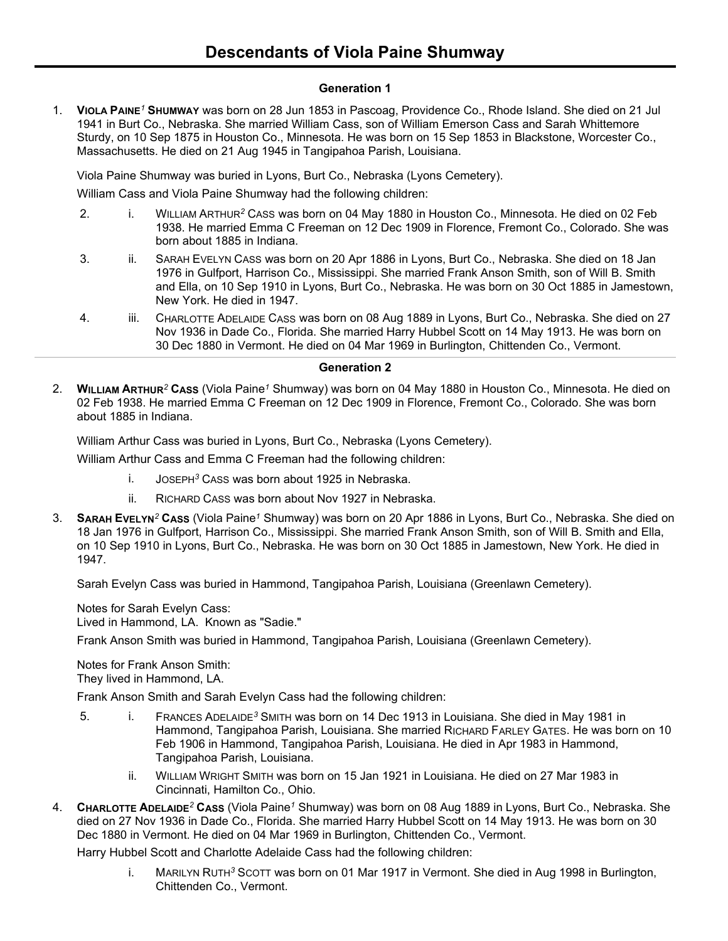## **Generation 1**

1. **VIOLA PAINE***<sup>1</sup>* **SHUMWAY** was born on 28 Jun 1853 in Pascoag, Providence Co., Rhode Island. She died on 21 Jul 1941 in Burt Co., Nebraska. She married William Cass, son of William Emerson Cass and Sarah Whittemore Sturdy, on 10 Sep 1875 in Houston Co., Minnesota. He was born on 15 Sep 1853 in Blackstone, Worcester Co., Massachusetts. He died on 21 Aug 1945 in Tangipahoa Parish, Louisiana.

Viola Paine Shumway was buried in Lyons, Burt Co., Nebraska (Lyons Cemetery).

William Cass and Viola Paine Shumway had the following children:

- 2. i. WILLIAM ARTHUR*<sup>2</sup>* CASS was born on 04 May 1880 in Houston Co., Minnesota. He died on 02 Feb 1938. He married Emma C Freeman on 12 Dec 1909 in Florence, Fremont Co., Colorado. She was born about 1885 in Indiana.
- 3. ii. SARAH EVELYN CASS was born on 20 Apr 1886 in Lyons, Burt Co., Nebraska. She died on 18 Jan 1976 in Gulfport, Harrison Co., Mississippi. She married Frank Anson Smith, son of Will B. Smith and Ella, on 10 Sep 1910 in Lyons, Burt Co., Nebraska. He was born on 30 Oct 1885 in Jamestown, New York. He died in 1947.
- 4. iii. CHARLOTTE ADELAIDE CASS was born on 08 Aug 1889 in Lyons, Burt Co., Nebraska. She died on 27 Nov 1936 in Dade Co., Florida. She married Harry Hubbel Scott on 14 May 1913. He was born on 30 Dec 1880 in Vermont. He died on 04 Mar 1969 in Burlington, Chittenden Co., Vermont.

## **Generation 2**

2. **WILLIAM ARTHUR***<sup>2</sup>* **CASS** (Viola Paine*<sup>1</sup>* Shumway) was born on 04 May 1880 in Houston Co., Minnesota. He died on 02 Feb 1938. He married Emma C Freeman on 12 Dec 1909 in Florence, Fremont Co., Colorado. She was born about 1885 in Indiana.

William Arthur Cass was buried in Lyons, Burt Co., Nebraska (Lyons Cemetery).

William Arthur Cass and Emma C Freeman had the following children:

- i. JOSEPH*<sup>3</sup>* CASS was born about 1925 in Nebraska.
- ii. RICHARD CASS was born about Nov 1927 in Nebraska.
- 3. **SARAH EVELYN***<sup>2</sup>* **CASS** (Viola Paine*<sup>1</sup>* Shumway) was born on 20 Apr 1886 in Lyons, Burt Co., Nebraska. She died on 18 Jan 1976 in Gulfport, Harrison Co., Mississippi. She married Frank Anson Smith, son of Will B. Smith and Ella, on 10 Sep 1910 in Lyons, Burt Co., Nebraska. He was born on 30 Oct 1885 in Jamestown, New York. He died in 1947.

Sarah Evelyn Cass was buried in Hammond, Tangipahoa Parish, Louisiana (Greenlawn Cemetery).

Notes for Sarah Evelyn Cass:

Lived in Hammond, LA. Known as "Sadie."

Frank Anson Smith was buried in Hammond, Tangipahoa Parish, Louisiana (Greenlawn Cemetery).

Notes for Frank Anson Smith: They lived in Hammond, LA.

Frank Anson Smith and Sarah Evelyn Cass had the following children:

- 5. i. FRANCES ADELAIDE*<sup>3</sup>* SMITH was born on 14 Dec 1913 in Louisiana. She died in May 1981 in Hammond, Tangipahoa Parish, Louisiana. She married RICHARD FARLEY GATES. He was born on 10 Feb 1906 in Hammond, Tangipahoa Parish, Louisiana. He died in Apr 1983 in Hammond, Tangipahoa Parish, Louisiana.
	- ii. WILLIAM WRIGHT SMITH was born on 15 Jan 1921 in Louisiana. He died on 27 Mar 1983 in Cincinnati, Hamilton Co., Ohio.
- 4. **CHARLOTTE ADELAIDE***<sup>2</sup>* **CASS** (Viola Paine*<sup>1</sup>* Shumway) was born on 08 Aug 1889 in Lyons, Burt Co., Nebraska. She died on 27 Nov 1936 in Dade Co., Florida. She married Harry Hubbel Scott on 14 May 1913. He was born on 30 Dec 1880 in Vermont. He died on 04 Mar 1969 in Burlington, Chittenden Co., Vermont.

Harry Hubbel Scott and Charlotte Adelaide Cass had the following children:

i. MARILYN RUTH*<sup>3</sup>* SCOTT was born on 01 Mar 1917 in Vermont. She died in Aug 1998 in Burlington, Chittenden Co., Vermont.